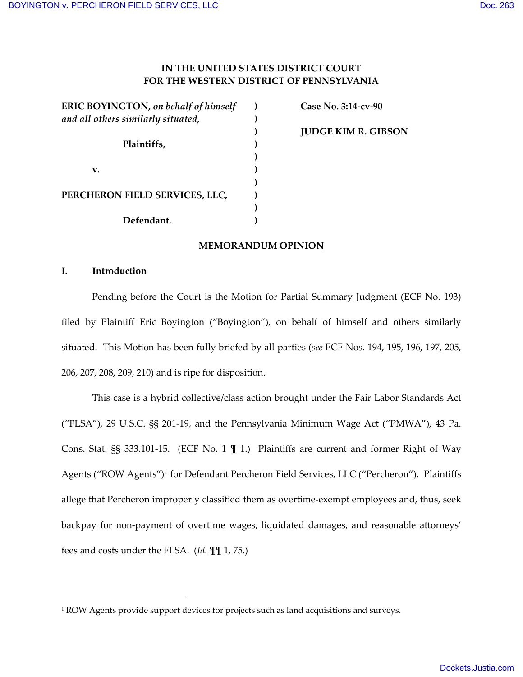# **IN THE UNITED STATES DISTRICT COURT FOR THE WESTERN DISTRICT OF PENNSYLVANIA**

| <b>ERIC BOYINGTON, on behalf of himself</b> |  |
|---------------------------------------------|--|
| and all others similarly situated,          |  |
|                                             |  |
| Plaintiffs,                                 |  |
|                                             |  |
| v.                                          |  |
|                                             |  |
| PERCHERON FIELD SERVICES, LLC,              |  |
|                                             |  |
| Defendant.                                  |  |

 **Case No. 3:14-cv-90 JUDGE KIM R. GIBSON**

### **MEMORANDUM OPINION**

### **I. Introduction**

l

Pending before the Court is the Motion for Partial Summary Judgment (ECF No. 193) filed by Plaintiff Eric Boyington ("Boyington"), on behalf of himself and others similarly situated. This Motion has been fully briefed by all parties (*see* ECF Nos. 194, 195, 196, 197, 205, 206, 207, 208, 209, 210) and is ripe for disposition.

This case is a hybrid collective/class action brought under the Fair Labor Standards Act ("FLSA"), 29 U.S.C. §§ 201-19, and the Pennsylvania Minimum Wage Act ("PMWA"), 43 Pa. Cons. Stat. §§ 333.101-15. (ECF No. 1 ¶ 1.) Plaintiffs are current and former Right of Way Agents ("ROW Agents")<sup>[1](#page-0-0)</sup> for Defendant Percheron Field Services, LLC ("Percheron"). Plaintiffs allege that Percheron improperly classified them as overtime-exempt employees and, thus, seek backpay for non-payment of overtime wages, liquidated damages, and reasonable attorneys' fees and costs under the FLSA. (*Id.* ¶¶ 1, 75.)

<span id="page-0-0"></span><sup>1</sup> ROW Agents provide support devices for projects such as land acquisitions and surveys.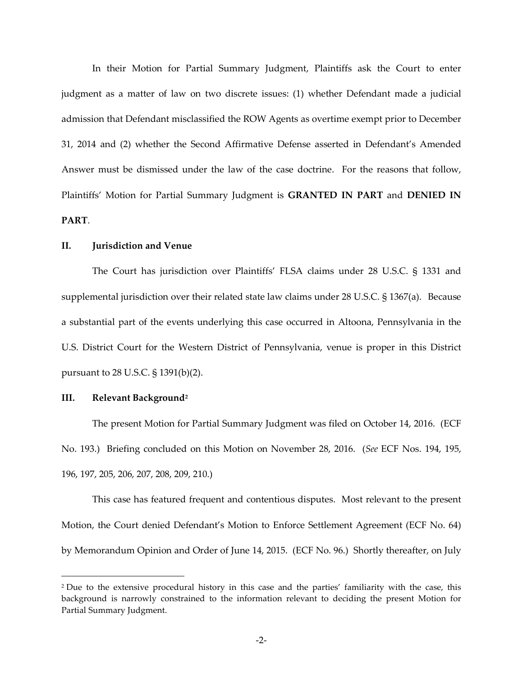In their Motion for Partial Summary Judgment, Plaintiffs ask the Court to enter judgment as a matter of law on two discrete issues: (1) whether Defendant made a judicial admission that Defendant misclassified the ROW Agents as overtime exempt prior to December 31, 2014 and (2) whether the Second Affirmative Defense asserted in Defendant's Amended Answer must be dismissed under the law of the case doctrine. For the reasons that follow, Plaintiffs' Motion for Partial Summary Judgment is **GRANTED IN PART** and **DENIED IN PART**.

### **II. Jurisdiction and Venue**

The Court has jurisdiction over Plaintiffs' FLSA claims under 28 U.S.C. § 1331 and supplemental jurisdiction over their related state law claims under 28 U.S.C. § 1367(a). Because a substantial part of the events underlying this case occurred in Altoona, Pennsylvania in the U.S. District Court for the Western District of Pennsylvania, venue is proper in this District pursuant to 28 U.S.C. § 1391(b)(2).

#### **III. Relevant Background[2](#page-1-0)**

l

The present Motion for Partial Summary Judgment was filed on October 14, 2016. (ECF No. 193.) Briefing concluded on this Motion on November 28, 2016. (*See* ECF Nos. 194, 195, 196, 197, 205, 206, 207, 208, 209, 210.)

This case has featured frequent and contentious disputes. Most relevant to the present Motion, the Court denied Defendant's Motion to Enforce Settlement Agreement (ECF No. 64) by Memorandum Opinion and Order of June 14, 2015. (ECF No. 96.) Shortly thereafter, on July

<span id="page-1-0"></span><sup>2</sup> Due to the extensive procedural history in this case and the parties' familiarity with the case, this background is narrowly constrained to the information relevant to deciding the present Motion for Partial Summary Judgment.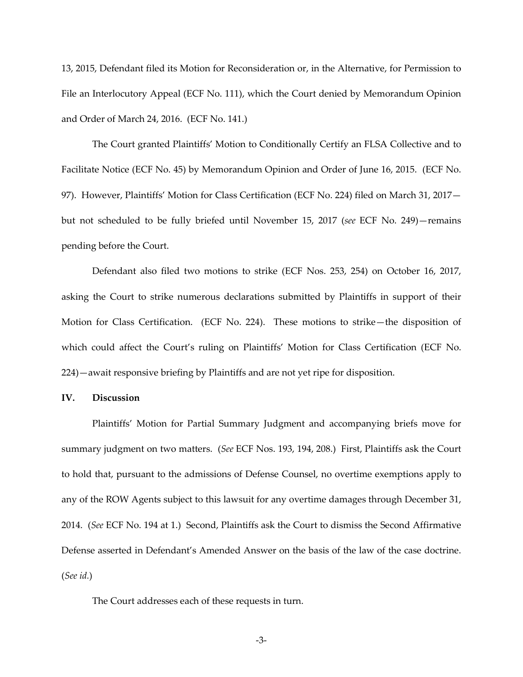13, 2015, Defendant filed its Motion for Reconsideration or, in the Alternative, for Permission to File an Interlocutory Appeal (ECF No. 111), which the Court denied by Memorandum Opinion and Order of March 24, 2016. (ECF No. 141.)

The Court granted Plaintiffs' Motion to Conditionally Certify an FLSA Collective and to Facilitate Notice (ECF No. 45) by Memorandum Opinion and Order of June 16, 2015. (ECF No. 97). However, Plaintiffs' Motion for Class Certification (ECF No. 224) filed on March 31, 2017 but not scheduled to be fully briefed until November 15, 2017 (*see* ECF No. 249)—remains pending before the Court.

Defendant also filed two motions to strike (ECF Nos. 253, 254) on October 16, 2017, asking the Court to strike numerous declarations submitted by Plaintiffs in support of their Motion for Class Certification. (ECF No. 224). These motions to strike—the disposition of which could affect the Court's ruling on Plaintiffs' Motion for Class Certification (ECF No. 224)—await responsive briefing by Plaintiffs and are not yet ripe for disposition.

### **IV. Discussion**

Plaintiffs' Motion for Partial Summary Judgment and accompanying briefs move for summary judgment on two matters. (*See* ECF Nos. 193, 194, 208.) First, Plaintiffs ask the Court to hold that, pursuant to the admissions of Defense Counsel, no overtime exemptions apply to any of the ROW Agents subject to this lawsuit for any overtime damages through December 31, 2014. (*See* ECF No. 194 at 1.) Second, Plaintiffs ask the Court to dismiss the Second Affirmative Defense asserted in Defendant's Amended Answer on the basis of the law of the case doctrine. (*See id.*)

The Court addresses each of these requests in turn.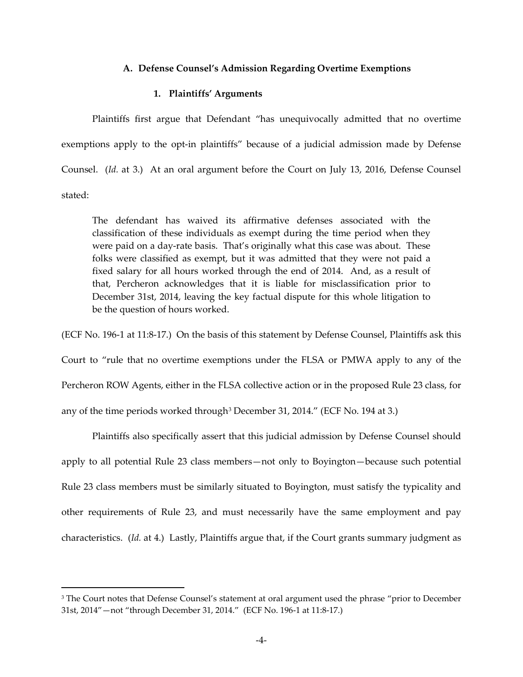#### **A. Defense Counsel's Admission Regarding Overtime Exemptions**

## **1. Plaintiffs' Arguments**

Plaintiffs first argue that Defendant "has unequivocally admitted that no overtime exemptions apply to the opt-in plaintiffs" because of a judicial admission made by Defense Counsel. (*Id.* at 3.) At an oral argument before the Court on July 13, 2016, Defense Counsel stated:

The defendant has waived its affirmative defenses associated with the classification of these individuals as exempt during the time period when they were paid on a day-rate basis. That's originally what this case was about. These folks were classified as exempt, but it was admitted that they were not paid a fixed salary for all hours worked through the end of 2014. And, as a result of that, Percheron acknowledges that it is liable for misclassification prior to December 31st, 2014, leaving the key factual dispute for this whole litigation to be the question of hours worked.

(ECF No. 196-1 at 11:8-17.) On the basis of this statement by Defense Counsel, Plaintiffs ask this Court to "rule that no overtime exemptions under the FLSA or PMWA apply to any of the Percheron ROW Agents, either in the FLSA collective action or in the proposed Rule 23 class, for any of the time periods worked through<sup>[3](#page-3-0)</sup> December 31, 2014." (ECF No. 194 at 3.)

Plaintiffs also specifically assert that this judicial admission by Defense Counsel should apply to all potential Rule 23 class members—not only to Boyington—because such potential Rule 23 class members must be similarly situated to Boyington, must satisfy the typicality and other requirements of Rule 23, and must necessarily have the same employment and pay characteristics. (*Id.* at 4.) Lastly, Plaintiffs argue that, if the Court grants summary judgment as

<span id="page-3-0"></span><sup>&</sup>lt;sup>3</sup> The Court notes that Defense Counsel's statement at oral argument used the phrase "prior to December" 31st, 2014"—not "through December 31, 2014." (ECF No. 196-1 at 11:8-17.)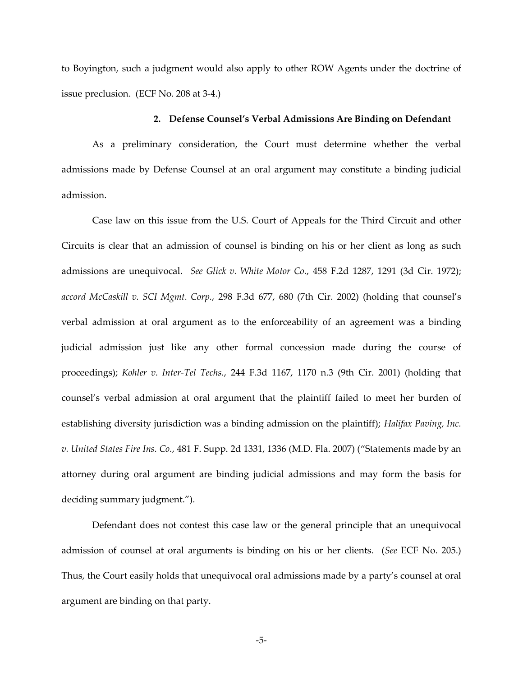to Boyington, such a judgment would also apply to other ROW Agents under the doctrine of issue preclusion. (ECF No. 208 at 3-4.)

### **2. Defense Counsel's Verbal Admissions Are Binding on Defendant**

As a preliminary consideration, the Court must determine whether the verbal admissions made by Defense Counsel at an oral argument may constitute a binding judicial admission.

Case law on this issue from the U.S. Court of Appeals for the Third Circuit and other Circuits is clear that an admission of counsel is binding on his or her client as long as such admissions are unequivocal. *See Glick v. White Motor Co.*, 458 F.2d 1287, 1291 (3d Cir. 1972); *accord McCaskill v. SCI Mgmt. Corp.*, 298 F.3d 677, 680 (7th Cir. 2002) (holding that counsel's verbal admission at oral argument as to the enforceability of an agreement was a binding judicial admission just like any other formal concession made during the course of proceedings); *Kohler v. Inter-Tel Techs.*, 244 F.3d 1167, 1170 n.3 (9th Cir. 2001) (holding that counsel's verbal admission at oral argument that the plaintiff failed to meet her burden of establishing diversity jurisdiction was a binding admission on the plaintiff); *Halifax Paving, Inc. v. United States Fire Ins. Co.*, 481 F. Supp. 2d 1331, 1336 (M.D. Fla. 2007) ("Statements made by an attorney during oral argument are binding judicial admissions and may form the basis for deciding summary judgment.").

Defendant does not contest this case law or the general principle that an unequivocal admission of counsel at oral arguments is binding on his or her clients. (*See* ECF No. 205.) Thus, the Court easily holds that unequivocal oral admissions made by a party's counsel at oral argument are binding on that party.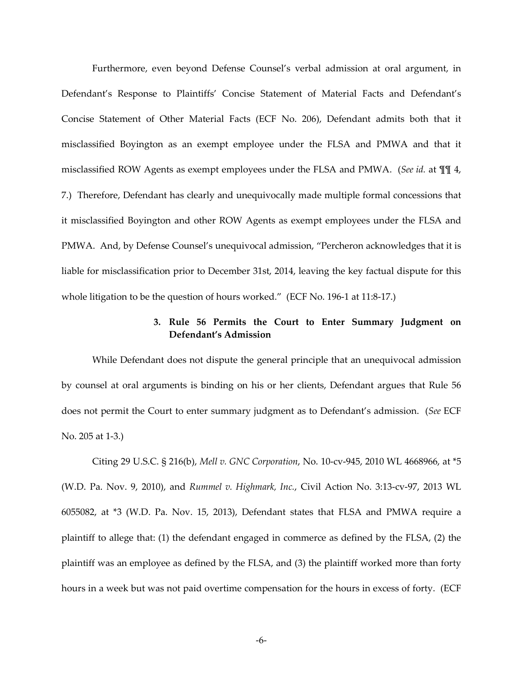Furthermore, even beyond Defense Counsel's verbal admission at oral argument, in Defendant's Response to Plaintiffs' Concise Statement of Material Facts and Defendant's Concise Statement of Other Material Facts (ECF No. 206), Defendant admits both that it misclassified Boyington as an exempt employee under the FLSA and PMWA and that it misclassified ROW Agents as exempt employees under the FLSA and PMWA. (*See id.* at ¶¶ 4, 7.) Therefore, Defendant has clearly and unequivocally made multiple formal concessions that it misclassified Boyington and other ROW Agents as exempt employees under the FLSA and PMWA. And, by Defense Counsel's unequivocal admission, "Percheron acknowledges that it is liable for misclassification prior to December 31st, 2014, leaving the key factual dispute for this whole litigation to be the question of hours worked." (ECF No. 196-1 at 11:8-17.)

# **3. Rule 56 Permits the Court to Enter Summary Judgment on Defendant's Admission**

While Defendant does not dispute the general principle that an unequivocal admission by counsel at oral arguments is binding on his or her clients, Defendant argues that Rule 56 does not permit the Court to enter summary judgment as to Defendant's admission. (*See* ECF No. 205 at 1-3.)

Citing 29 U.S.C. § 216(b), *Mell v. GNC Corporation*, No. 10-cv-945, 2010 WL 4668966, at \*5 (W.D. Pa. Nov. 9, 2010), and *Rummel v. Highmark, Inc.*, Civil Action No. 3:13-cv-97, 2013 WL 6055082, at \*3 (W.D. Pa. Nov. 15, 2013), Defendant states that FLSA and PMWA require a plaintiff to allege that: (1) the defendant engaged in commerce as defined by the FLSA, (2) the plaintiff was an employee as defined by the FLSA, and (3) the plaintiff worked more than forty hours in a week but was not paid overtime compensation for the hours in excess of forty. (ECF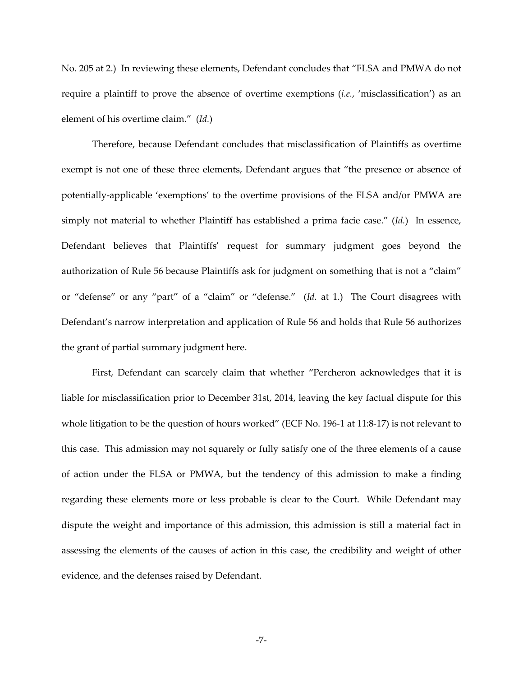No. 205 at 2.) In reviewing these elements, Defendant concludes that "FLSA and PMWA do not require a plaintiff to prove the absence of overtime exemptions (*i.e.*, 'misclassification') as an element of his overtime claim." (*Id.*)

Therefore, because Defendant concludes that misclassification of Plaintiffs as overtime exempt is not one of these three elements, Defendant argues that "the presence or absence of potentially-applicable 'exemptions' to the overtime provisions of the FLSA and/or PMWA are simply not material to whether Plaintiff has established a prima facie case." (*Id.*) In essence, Defendant believes that Plaintiffs' request for summary judgment goes beyond the authorization of Rule 56 because Plaintiffs ask for judgment on something that is not a "claim" or "defense" or any "part" of a "claim" or "defense." (*Id.* at 1.) The Court disagrees with Defendant's narrow interpretation and application of Rule 56 and holds that Rule 56 authorizes the grant of partial summary judgment here.

First, Defendant can scarcely claim that whether "Percheron acknowledges that it is liable for misclassification prior to December 31st, 2014, leaving the key factual dispute for this whole litigation to be the question of hours worked" (ECF No. 196-1 at 11:8-17) is not relevant to this case. This admission may not squarely or fully satisfy one of the three elements of a cause of action under the FLSA or PMWA, but the tendency of this admission to make a finding regarding these elements more or less probable is clear to the Court. While Defendant may dispute the weight and importance of this admission, this admission is still a material fact in assessing the elements of the causes of action in this case, the credibility and weight of other evidence, and the defenses raised by Defendant.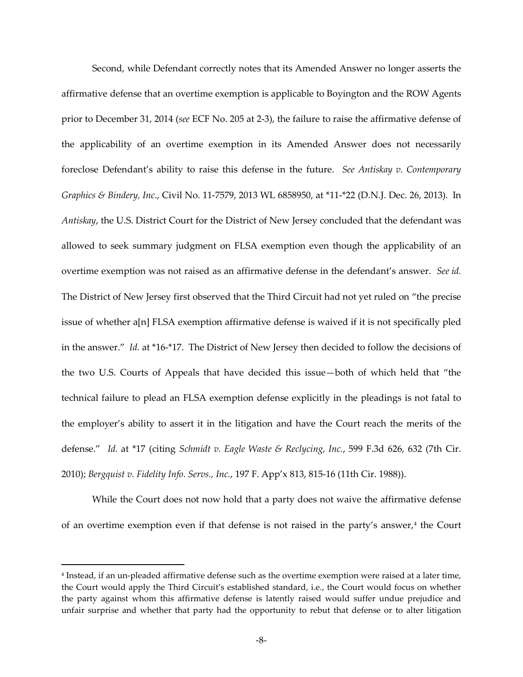Second, while Defendant correctly notes that its Amended Answer no longer asserts the affirmative defense that an overtime exemption is applicable to Boyington and the ROW Agents prior to December 31, 2014 (*see* ECF No. 205 at 2-3), the failure to raise the affirmative defense of the applicability of an overtime exemption in its Amended Answer does not necessarily foreclose Defendant's ability to raise this defense in the future. *See Antiskay v. Contemporary Graphics & Bindery, Inc*., Civil No. 11-7579, 2013 WL 6858950, at \*11-\*22 (D.N.J. Dec. 26, 2013). In *Antiskay*, the U.S. District Court for the District of New Jersey concluded that the defendant was allowed to seek summary judgment on FLSA exemption even though the applicability of an overtime exemption was not raised as an affirmative defense in the defendant's answer. *See id.*  The District of New Jersey first observed that the Third Circuit had not yet ruled on "the precise issue of whether a[n] FLSA exemption affirmative defense is waived if it is not specifically pled in the answer." *Id.* at \*16-\*17. The District of New Jersey then decided to follow the decisions of the two U.S. Courts of Appeals that have decided this issue—both of which held that "the technical failure to plead an FLSA exemption defense explicitly in the pleadings is not fatal to the employer's ability to assert it in the litigation and have the Court reach the merits of the defense." *Id.* at \*17 (citing *Schmidt v. Eagle Waste & Reclycing, Inc.*, 599 F.3d 626, 632 (7th Cir. 2010); *Bergquist v. Fidelity Info. Servs., Inc.*, 197 F. App'x 813, 815-16 (11th Cir. 1988)).

While the Court does not now hold that a party does not waive the affirmative defense of an overtime exemption even if that defense is not raised in the party's answer,<sup>[4](#page-7-0)</sup> the Court

 $\overline{a}$ 

<span id="page-7-0"></span><sup>4</sup> Instead, if an un-pleaded affirmative defense such as the overtime exemption were raised at a later time, the Court would apply the Third Circuit's established standard, i.e., the Court would focus on whether the party against whom this affirmative defense is latently raised would suffer undue prejudice and unfair surprise and whether that party had the opportunity to rebut that defense or to alter litigation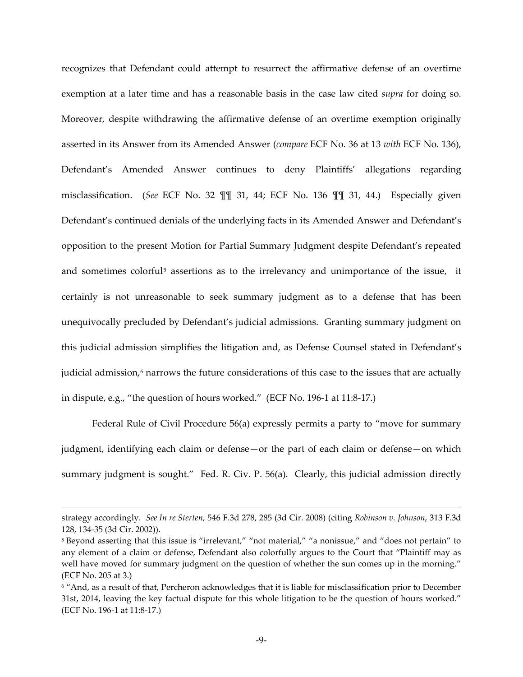recognizes that Defendant could attempt to resurrect the affirmative defense of an overtime exemption at a later time and has a reasonable basis in the case law cited *supra* for doing so. Moreover, despite withdrawing the affirmative defense of an overtime exemption originally asserted in its Answer from its Amended Answer (*compare* ECF No. 36 at 13 *with* ECF No. 136), Defendant's Amended Answer continues to deny Plaintiffs' allegations regarding misclassification. (*See* ECF No. 32 ¶¶ 31, 44; ECF No. 136 ¶¶ 31, 44.) Especially given Defendant's continued denials of the underlying facts in its Amended Answer and Defendant's opposition to the present Motion for Partial Summary Judgment despite Defendant's repeated and sometimes colorful<sup>[5](#page-8-0)</sup> assertions as to the irrelevancy and unimportance of the issue, it certainly is not unreasonable to seek summary judgment as to a defense that has been unequivocally precluded by Defendant's judicial admissions. Granting summary judgment on this judicial admission simplifies the litigation and, as Defense Counsel stated in Defendant's judicial admission, [6](#page-8-1) narrows the future considerations of this case to the issues that are actually in dispute, e.g., "the question of hours worked." (ECF No. 196-1 at 11:8-17.)

Federal Rule of Civil Procedure 56(a) expressly permits a party to "move for summary judgment, identifying each claim or defense—or the part of each claim or defense—on which summary judgment is sought." Fed. R. Civ. P. 56(a). Clearly, this judicial admission directly

strategy accordingly. *See In re Sterten*, 546 F.3d 278, 285 (3d Cir. 2008) (citing *Robinson v. Johnson*, 313 F.3d 128, 134-35 (3d Cir. 2002)).

<span id="page-8-0"></span><sup>5</sup> Beyond asserting that this issue is "irrelevant," "not material," "a nonissue," and "does not pertain" to any element of a claim or defense, Defendant also colorfully argues to the Court that "Plaintiff may as well have moved for summary judgment on the question of whether the sun comes up in the morning." (ECF No. 205 at 3.)

<span id="page-8-1"></span><sup>6</sup> "And, as a result of that, Percheron acknowledges that it is liable for misclassification prior to December 31st, 2014, leaving the key factual dispute for this whole litigation to be the question of hours worked." (ECF No. 196-1 at 11:8-17.)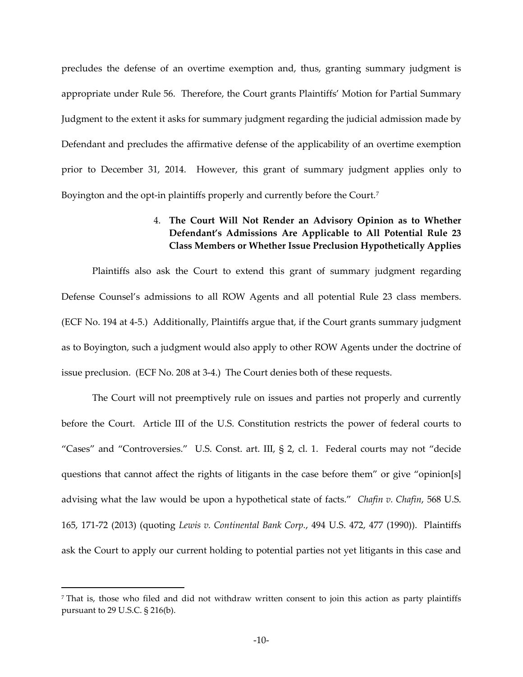precludes the defense of an overtime exemption and, thus, granting summary judgment is appropriate under Rule 56. Therefore, the Court grants Plaintiffs' Motion for Partial Summary Judgment to the extent it asks for summary judgment regarding the judicial admission made by Defendant and precludes the affirmative defense of the applicability of an overtime exemption prior to December 31, 2014. However, this grant of summary judgment applies only to Boyington and the opt-in plaintiffs properly and currently before the Court.<sup>[7](#page-9-0)</sup>

# 4. **The Court Will Not Render an Advisory Opinion as to Whether Defendant's Admissions Are Applicable to All Potential Rule 23 Class Members or Whether Issue Preclusion Hypothetically Applies**

Plaintiffs also ask the Court to extend this grant of summary judgment regarding Defense Counsel's admissions to all ROW Agents and all potential Rule 23 class members. (ECF No. 194 at 4-5.) Additionally, Plaintiffs argue that, if the Court grants summary judgment as to Boyington, such a judgment would also apply to other ROW Agents under the doctrine of issue preclusion. (ECF No. 208 at 3-4.) The Court denies both of these requests.

The Court will not preemptively rule on issues and parties not properly and currently before the Court. Article III of the U.S. Constitution restricts the power of federal courts to "Cases" and "Controversies." U.S. Const. art. III, § 2, cl. 1. Federal courts may not "decide questions that cannot affect the rights of litigants in the case before them" or give "opinion[s] advising what the law would be upon a hypothetical state of facts." *Chafin v. Chafin*, 568 U.S. 165, 171-72 (2013) (quoting *Lewis v. Continental Bank Corp.*, 494 U.S. 472, 477 (1990)). Plaintiffs ask the Court to apply our current holding to potential parties not yet litigants in this case and

<span id="page-9-0"></span><sup>7</sup> That is, those who filed and did not withdraw written consent to join this action as party plaintiffs pursuant to 29 U.S.C. § 216(b).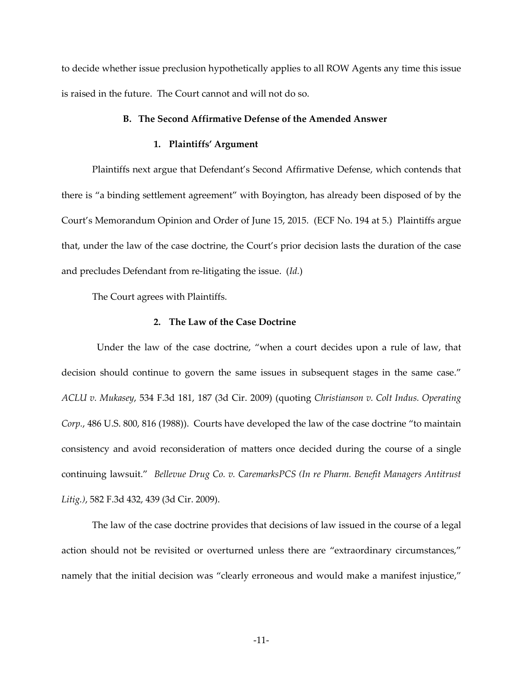to decide whether issue preclusion hypothetically applies to all ROW Agents any time this issue is raised in the future. The Court cannot and will not do so.

### **B. The Second Affirmative Defense of the Amended Answer**

## **1. Plaintiffs' Argument**

Plaintiffs next argue that Defendant's Second Affirmative Defense, which contends that there is "a binding settlement agreement" with Boyington, has already been disposed of by the Court's Memorandum Opinion and Order of June 15, 2015. (ECF No. 194 at 5.) Plaintiffs argue that, under the law of the case doctrine, the Court's prior decision lasts the duration of the case and precludes Defendant from re-litigating the issue. (*Id.*)

The Court agrees with Plaintiffs.

### **2. The Law of the Case Doctrine**

 Under the law of the case doctrine, "when a court decides upon a rule of law, that decision should continue to govern the same issues in subsequent stages in the same case." *ACLU v. Mukasey*, 534 F.3d 181, 187 (3d Cir. 2009) (quoting *Christianson v. Colt Indus. Operating Corp.*, 486 U.S. 800, 816 (1988)). Courts have developed the law of the case doctrine "to maintain consistency and avoid reconsideration of matters once decided during the course of a single continuing lawsuit." *Bellevue Drug Co. v. CaremarksPCS (In re Pharm. Benefit Managers Antitrust Litig.)*, 582 F.3d 432, 439 (3d Cir. 2009).

The law of the case doctrine provides that decisions of law issued in the course of a legal action should not be revisited or overturned unless there are "extraordinary circumstances," namely that the initial decision was "clearly erroneous and would make a manifest injustice,"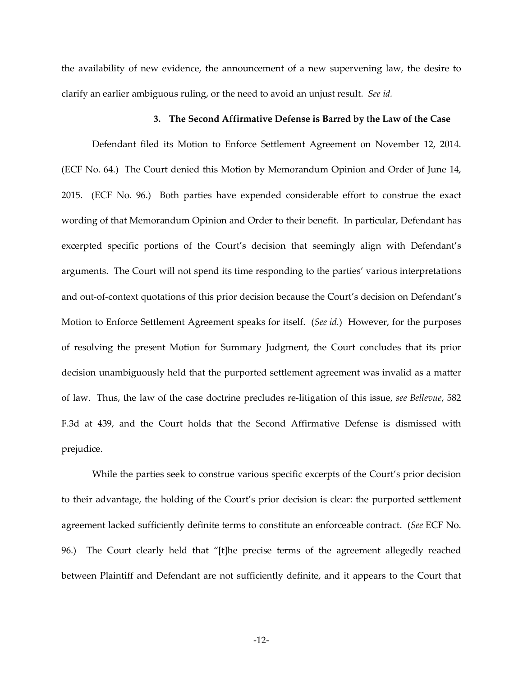the availability of new evidence, the announcement of a new supervening law, the desire to clarify an earlier ambiguous ruling, or the need to avoid an unjust result. *See id.*

### **3. The Second Affirmative Defense is Barred by the Law of the Case**

Defendant filed its Motion to Enforce Settlement Agreement on November 12, 2014. (ECF No. 64.) The Court denied this Motion by Memorandum Opinion and Order of June 14, 2015. (ECF No. 96.) Both parties have expended considerable effort to construe the exact wording of that Memorandum Opinion and Order to their benefit. In particular, Defendant has excerpted specific portions of the Court's decision that seemingly align with Defendant's arguments. The Court will not spend its time responding to the parties' various interpretations and out-of-context quotations of this prior decision because the Court's decision on Defendant's Motion to Enforce Settlement Agreement speaks for itself. (*See id.*) However, for the purposes of resolving the present Motion for Summary Judgment, the Court concludes that its prior decision unambiguously held that the purported settlement agreement was invalid as a matter of law. Thus, the law of the case doctrine precludes re-litigation of this issue, *see Bellevue*, 582 F.3d at 439, and the Court holds that the Second Affirmative Defense is dismissed with prejudice.

While the parties seek to construe various specific excerpts of the Court's prior decision to their advantage, the holding of the Court's prior decision is clear: the purported settlement agreement lacked sufficiently definite terms to constitute an enforceable contract. (*See* ECF No. 96.) The Court clearly held that "[t]he precise terms of the agreement allegedly reached between Plaintiff and Defendant are not sufficiently definite, and it appears to the Court that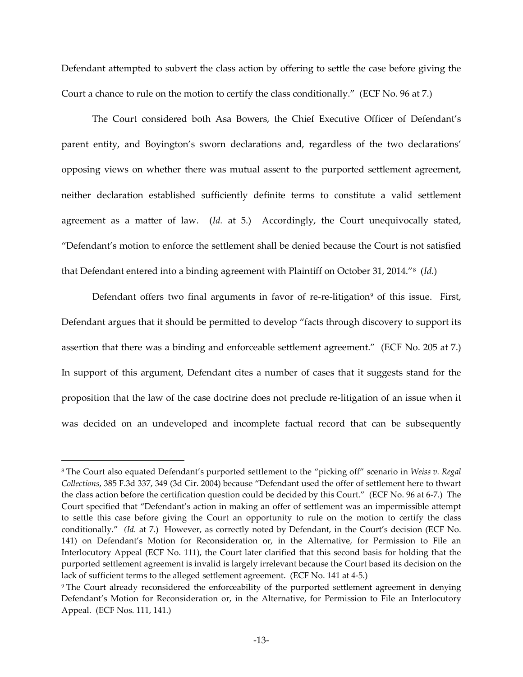Defendant attempted to subvert the class action by offering to settle the case before giving the Court a chance to rule on the motion to certify the class conditionally." (ECF No. 96 at 7.)

The Court considered both Asa Bowers, the Chief Executive Officer of Defendant's parent entity, and Boyington's sworn declarations and, regardless of the two declarations' opposing views on whether there was mutual assent to the purported settlement agreement, neither declaration established sufficiently definite terms to constitute a valid settlement agreement as a matter of law. (*Id.* at 5.) Accordingly, the Court unequivocally stated, "Defendant's motion to enforce the settlement shall be denied because the Court is not satisfied that Defendant entered into a binding agreement with Plaintiff on October 31, 2014."[8](#page-12-0) (*Id.*)

Defendant offers two final arguments in favor of re-re-litigation<sup>[9](#page-12-1)</sup> of this issue. First, Defendant argues that it should be permitted to develop "facts through discovery to support its assertion that there was a binding and enforceable settlement agreement." (ECF No. 205 at 7.) In support of this argument, Defendant cites a number of cases that it suggests stand for the proposition that the law of the case doctrine does not preclude re-litigation of an issue when it was decided on an undeveloped and incomplete factual record that can be subsequently

 $\overline{a}$ 

<span id="page-12-0"></span><sup>8</sup> The Court also equated Defendant's purported settlement to the "picking off" scenario in *Weiss v. Regal Collections*, 385 F.3d 337, 349 (3d Cir. 2004) because "Defendant used the offer of settlement here to thwart the class action before the certification question could be decided by this Court." (ECF No. 96 at 6-7.) The Court specified that "Defendant's action in making an offer of settlement was an impermissible attempt to settle this case before giving the Court an opportunity to rule on the motion to certify the class conditionally." *(Id.* at 7.) However, as correctly noted by Defendant, in the Court's decision (ECF No. 141) on Defendant's Motion for Reconsideration or, in the Alternative, for Permission to File an Interlocutory Appeal (ECF No. 111), the Court later clarified that this second basis for holding that the purported settlement agreement is invalid is largely irrelevant because the Court based its decision on the lack of sufficient terms to the alleged settlement agreement. (ECF No. 141 at 4-5.)

<span id="page-12-1"></span><sup>9</sup> The Court already reconsidered the enforceability of the purported settlement agreement in denying Defendant's Motion for Reconsideration or, in the Alternative, for Permission to File an Interlocutory Appeal. (ECF Nos. 111, 141.)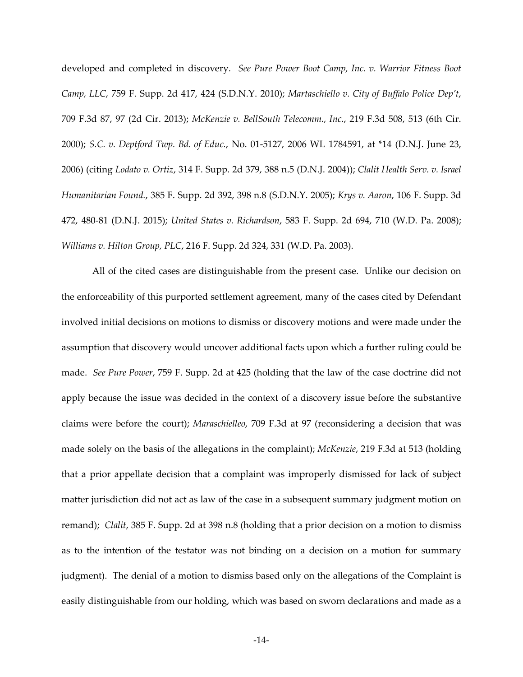developed and completed in discovery. *See Pure Power Boot Camp, Inc. v. Warrior Fitness Boot Camp, LLC*, 759 F. Supp. 2d 417, 424 (S.D.N.Y. 2010); *Martaschiello v. City of Buffalo Police Dep't*, 709 F.3d 87, 97 (2d Cir. 2013); *McKenzie v. BellSouth Telecomm., Inc.*, 219 F.3d 508, 513 (6th Cir. 2000); *S.C. v. Deptford Twp. Bd. of Educ.*, No. 01-5127, 2006 WL 1784591, at \*14 (D.N.J. June 23, 2006) (citing *Lodato v. Ortiz*, 314 F. Supp. 2d 379, 388 n.5 (D.N.J. 2004)); *Clalit Health Serv. v. Israel Humanitarian Found.*, 385 F. Supp. 2d 392, 398 n.8 (S.D.N.Y. 2005); *Krys v. Aaron*, 106 F. Supp. 3d 472, 480-81 (D.N.J. 2015); *United States v. Richardson*, 583 F. Supp. 2d 694, 710 (W.D. Pa. 2008); *Williams v. Hilton Group, PLC*, 216 F. Supp. 2d 324, 331 (W.D. Pa. 2003).

All of the cited cases are distinguishable from the present case. Unlike our decision on the enforceability of this purported settlement agreement, many of the cases cited by Defendant involved initial decisions on motions to dismiss or discovery motions and were made under the assumption that discovery would uncover additional facts upon which a further ruling could be made. *See Pure Power*, 759 F. Supp. 2d at 425 (holding that the law of the case doctrine did not apply because the issue was decided in the context of a discovery issue before the substantive claims were before the court); *Maraschielleo*, 709 F.3d at 97 (reconsidering a decision that was made solely on the basis of the allegations in the complaint); *McKenzie*, 219 F.3d at 513 (holding that a prior appellate decision that a complaint was improperly dismissed for lack of subject matter jurisdiction did not act as law of the case in a subsequent summary judgment motion on remand); *Clalit*, 385 F. Supp. 2d at 398 n.8 (holding that a prior decision on a motion to dismiss as to the intention of the testator was not binding on a decision on a motion for summary judgment). The denial of a motion to dismiss based only on the allegations of the Complaint is easily distinguishable from our holding, which was based on sworn declarations and made as a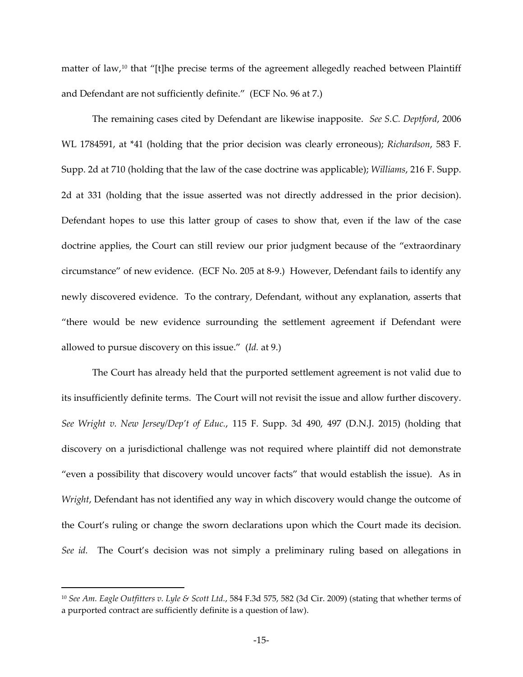matter of law, [10](#page-14-0) that "[t]he precise terms of the agreement allegedly reached between Plaintiff and Defendant are not sufficiently definite." (ECF No. 96 at 7.)

The remaining cases cited by Defendant are likewise inapposite. *See S.C. Deptford*, 2006 WL 1784591, at \*41 (holding that the prior decision was clearly erroneous); *Richardson*, 583 F. Supp. 2d at 710 (holding that the law of the case doctrine was applicable); *Williams*, 216 F. Supp. 2d at 331 (holding that the issue asserted was not directly addressed in the prior decision). Defendant hopes to use this latter group of cases to show that, even if the law of the case doctrine applies, the Court can still review our prior judgment because of the "extraordinary circumstance" of new evidence. (ECF No. 205 at 8-9.) However, Defendant fails to identify any newly discovered evidence. To the contrary, Defendant, without any explanation, asserts that "there would be new evidence surrounding the settlement agreement if Defendant were allowed to pursue discovery on this issue." (*Id.* at 9.)

The Court has already held that the purported settlement agreement is not valid due to its insufficiently definite terms. The Court will not revisit the issue and allow further discovery. *See Wright v. New Jersey/Dep't of Educ.*, 115 F. Supp. 3d 490, 497 (D.N.J. 2015) (holding that discovery on a jurisdictional challenge was not required where plaintiff did not demonstrate "even a possibility that discovery would uncover facts" that would establish the issue). As in *Wright*, Defendant has not identified any way in which discovery would change the outcome of the Court's ruling or change the sworn declarations upon which the Court made its decision. *See id.* The Court's decision was not simply a preliminary ruling based on allegations in

 $\overline{a}$ 

<span id="page-14-0"></span><sup>10</sup> *See Am. Eagle Outfitters v. Lyle & Scott Ltd.*, 584 F.3d 575, 582 (3d Cir. 2009) (stating that whether terms of a purported contract are sufficiently definite is a question of law).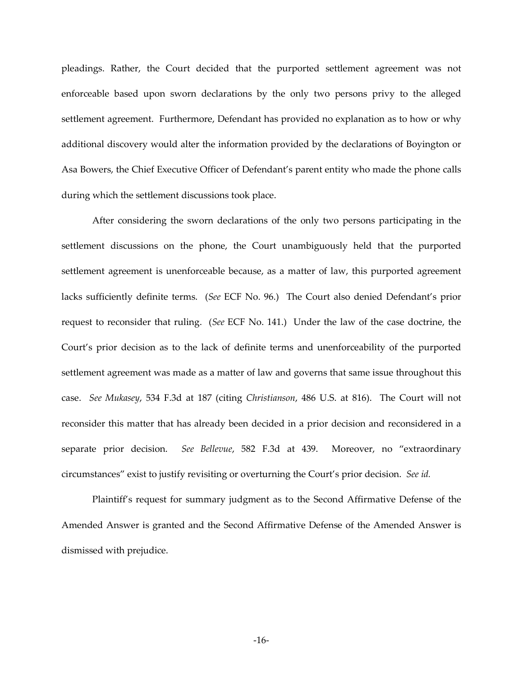pleadings. Rather, the Court decided that the purported settlement agreement was not enforceable based upon sworn declarations by the only two persons privy to the alleged settlement agreement. Furthermore, Defendant has provided no explanation as to how or why additional discovery would alter the information provided by the declarations of Boyington or Asa Bowers, the Chief Executive Officer of Defendant's parent entity who made the phone calls during which the settlement discussions took place.

After considering the sworn declarations of the only two persons participating in the settlement discussions on the phone, the Court unambiguously held that the purported settlement agreement is unenforceable because, as a matter of law, this purported agreement lacks sufficiently definite terms. (*See* ECF No. 96.) The Court also denied Defendant's prior request to reconsider that ruling. (*See* ECF No. 141.) Under the law of the case doctrine, the Court's prior decision as to the lack of definite terms and unenforceability of the purported settlement agreement was made as a matter of law and governs that same issue throughout this case. *See Mukasey*, 534 F.3d at 187 (citing *Christianson*, 486 U.S. at 816). The Court will not reconsider this matter that has already been decided in a prior decision and reconsidered in a separate prior decision. *See Bellevue*, 582 F.3d at 439. Moreover, no "extraordinary circumstances" exist to justify revisiting or overturning the Court's prior decision. *See id.*

Plaintiff's request for summary judgment as to the Second Affirmative Defense of the Amended Answer is granted and the Second Affirmative Defense of the Amended Answer is dismissed with prejudice.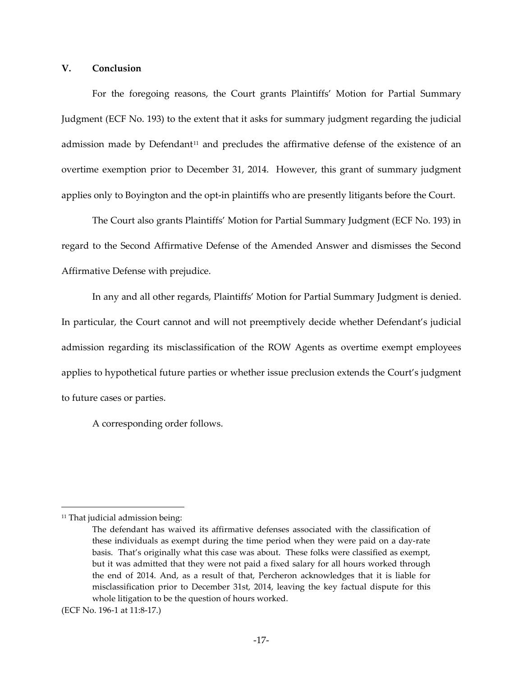### **V. Conclusion**

For the foregoing reasons, the Court grants Plaintiffs' Motion for Partial Summary Judgment (ECF No. 193) to the extent that it asks for summary judgment regarding the judicial admission made by Defendant<sup>[11](#page-16-0)</sup> and precludes the affirmative defense of the existence of an overtime exemption prior to December 31, 2014. However, this grant of summary judgment applies only to Boyington and the opt-in plaintiffs who are presently litigants before the Court.

The Court also grants Plaintiffs' Motion for Partial Summary Judgment (ECF No. 193) in regard to the Second Affirmative Defense of the Amended Answer and dismisses the Second Affirmative Defense with prejudice.

In any and all other regards, Plaintiffs' Motion for Partial Summary Judgment is denied. In particular, the Court cannot and will not preemptively decide whether Defendant's judicial admission regarding its misclassification of the ROW Agents as overtime exempt employees applies to hypothetical future parties or whether issue preclusion extends the Court's judgment to future cases or parties.

A corresponding order follows.

<span id="page-16-0"></span><sup>&</sup>lt;sup>11</sup> That judicial admission being:

The defendant has waived its affirmative defenses associated with the classification of these individuals as exempt during the time period when they were paid on a day-rate basis. That's originally what this case was about. These folks were classified as exempt, but it was admitted that they were not paid a fixed salary for all hours worked through the end of 2014. And, as a result of that, Percheron acknowledges that it is liable for misclassification prior to December 31st, 2014, leaving the key factual dispute for this whole litigation to be the question of hours worked.

<sup>(</sup>ECF No. 196-1 at 11:8-17.)